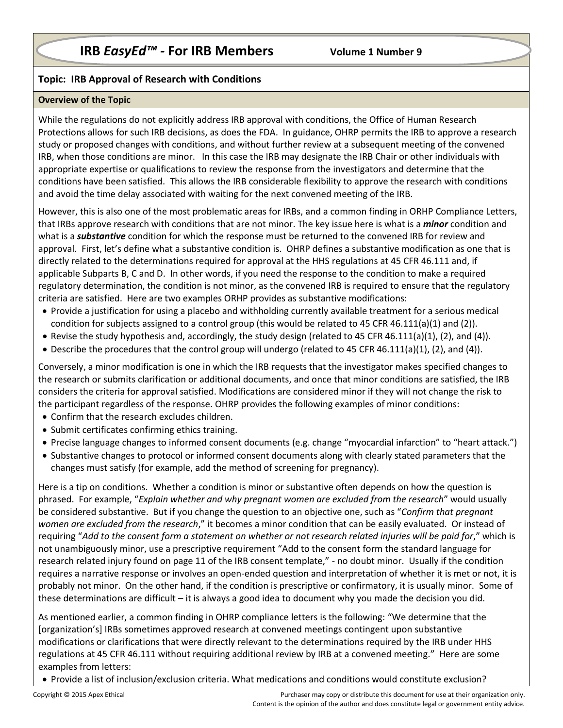## **Topic: IRB Approval of Research with Conditions**

## **Overview of the Topic**

While the regulations do not explicitly address IRB approval with conditions, the Office of Human Research Protections allows for such IRB decisions, as does the FDA. In guidance, OHRP permits the IRB to approve a research study or proposed changes with conditions, and without further review at a subsequent meeting of the convened IRB, when those conditions are minor. In this case the IRB may designate the IRB Chair or other individuals with appropriate expertise or qualifications to review the response from the investigators and determine that the conditions have been satisfied. This allows the IRB considerable flexibility to approve the research with conditions and avoid the time delay associated with waiting for the next convened meeting of the IRB.

However, this is also one of the most problematic areas for IRBs, and a common finding in ORHP Compliance Letters, that IRBs approve research with conditions that are not minor. The key issue here is what is a *minor* condition and what is a *substantive* condition for which the response must be returned to the convened IRB for review and approval. First, let's define what a substantive condition is. OHRP defines a substantive modification as one that is directly related to the determinations required for approval at the HHS regulations at 45 CFR 46.111 and, if applicable Subparts B, C and D. In other words, if you need the response to the condition to make a required regulatory determination, the condition is not minor, as the convened IRB is required to ensure that the regulatory criteria are satisfied. Here are two examples ORHP provides as substantive modifications:

- Provide a justification for using a placebo and withholding currently available treatment for a serious medical condition for subjects assigned to a control group (this would be related to 45 CFR 46.111(a)(1) and (2)).
- Revise the study hypothesis and, accordingly, the study design (related to 45 CFR 46.111(a)(1), (2), and (4)).
- Describe the procedures that the control group will undergo (related to 45 CFR 46.111(a)(1), (2), and (4)).

Conversely, a minor modification is one in which the IRB requests that the investigator makes specified changes to the research or submits clarification or additional documents, and once that minor conditions are satisfied, the IRB considers the criteria for approval satisfied. Modifications are considered minor if they will not change the risk to the participant regardless of the response. OHRP provides the following examples of minor conditions:

- Confirm that the research excludes children.
- Submit certificates confirming ethics training.
- Precise language changes to informed consent documents (e.g. change "myocardial infarction" to "heart attack.")
- Substantive changes to protocol or informed consent documents along with clearly stated parameters that the changes must satisfy (for example, add the method of screening for pregnancy).

Here is a tip on conditions. Whether a condition is minor or substantive often depends on how the question is phrased. For example, "*Explain whether and why pregnant women are excluded from the research*" would usually be considered substantive. But if you change the question to an objective one, such as "*Confirm that pregnant women are excluded from the research*," it becomes a minor condition that can be easily evaluated. Or instead of requiring "*Add to the consent form a statement on whether or not research related injuries will be paid for*," which is not unambiguously minor, use a prescriptive requirement "Add to the consent form the standard language for research related injury found on page 11 of the IRB consent template," - no doubt minor. Usually if the condition requires a narrative response or involves an open-ended question and interpretation of whether it is met or not, it is probably not minor. On the other hand, if the condition is prescriptive or confirmatory, it is usually minor. Some of these determinations are difficult – it is always a good idea to document why you made the decision you did.

As mentioned earlier, a common finding in OHRP compliance letters is the following: "We determine that the [organization's] IRBs sometimes approved research at convened meetings contingent upon substantive modifications or clarifications that were directly relevant to the determinations required by the IRB under HHS regulations at 45 CFR 46.111 without requiring additional review by IRB at a convened meeting." Here are some examples from letters:

Provide a list of inclusion/exclusion criteria. What medications and conditions would constitute exclusion?